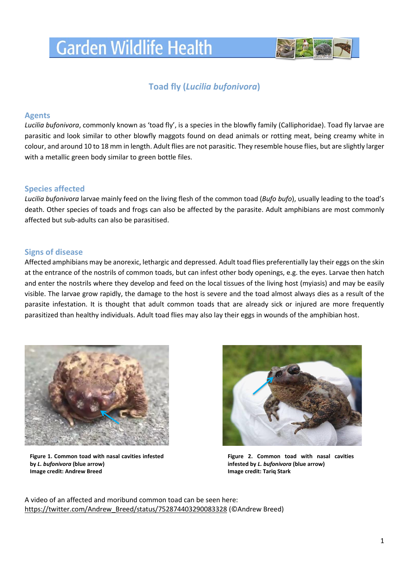# **Garden Wildlife Health**



## **Toad fly (***Lucilia bufonivora***)**

## **Agents**

*Lucilia bufonivora*, commonly known as 'toad fly', is a species in the blowfly family (Calliphoridae). Toad fly larvae are parasitic and look similar to other blowfly maggots found on dead animals or rotting meat, being creamy white in colour, and around 10 to 18 mm in length. Adult flies are not parasitic. They resemble house flies, but are slightly larger with a metallic green body similar to green bottle files.

## **Species affected**

*Lucilia bufonivora* larvae mainly feed on the living flesh of the common toad (*Bufo bufo*), usually leading to the toad's death. Other species of toads and frogs can also be affected by the parasite. Adult amphibians are most commonly affected but sub-adults can also be parasitised.

## **Signs of disease**

Affected amphibians may be anorexic, lethargic and depressed. Adult toad flies preferentially lay their eggs on the skin at the entrance of the nostrils of common toads, but can infest other body openings, e.g. the eyes. Larvae then hatch and enter the nostrils where they develop and feed on the local tissues of the living host (myiasis) and may be easily visible. The larvae grow rapidly, the damage to the host is severe and the toad almost always dies as a result of the parasite infestation. It is thought that adult common toads that are already sick or injured are more frequently parasitized than healthy individuals. Adult toad flies may also lay their eggs in wounds of the amphibian host.



**Figure 1. Common toad with nasal cavities infested by** *L. bufonivora* **(blue arrow) Image credit: Andrew Breed**



**Figure 2. Common toad with nasal cavities infested by** *L. bufonivora* **(blue arrow) Image credit: Tariq Stark**

A video of an affected and moribund common toad can be seen here: [https://twitter.com/Andrew\\_Breed/status/752874403290083328](https://twitter.com/Andrew_Breed/status/752874403290083328) (©Andrew Breed)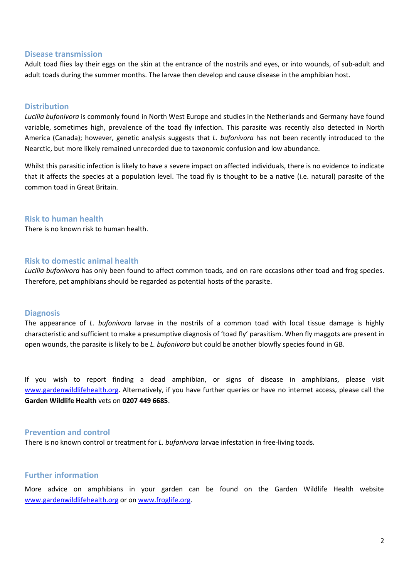#### **Disease transmission**

Adult toad flies lay their eggs on the skin at the entrance of the nostrils and eyes, or into wounds, of sub-adult and adult toads during the summer months. The larvae then develop and cause disease in the amphibian host.

#### **Distribution**

*Lucilia bufonivora* is commonly found in North West Europe and studies in the Netherlands and Germany have found variable, sometimes high, prevalence of the toad fly infection. This parasite was recently also detected in North America (Canada); however, genetic analysis suggests that *L. bufonivora* has not been recently introduced to the Nearctic, but more likely remained unrecorded due to taxonomic confusion and low abundance.

Whilst this parasitic infection is likely to have a severe impact on affected individuals, there is no evidence to indicate that it affects the species at a population level. The toad fly is thought to be a native (i.e. natural) parasite of the common toad in Great Britain.

#### **Risk to human health**

There is no known risk to human health.

#### **Risk to domestic animal health**

*Lucilia bufonivora* has only been found to affect common toads, and on rare occasions other toad and frog species. Therefore, pet amphibians should be regarded as potential hosts of the parasite.

#### **Diagnosis**

The appearance of *L. bufonivora* larvae in the nostrils of a common toad with local tissue damage is highly characteristic and sufficient to make a presumptive diagnosis of 'toad fly' parasitism. When fly maggots are present in open wounds, the parasite is likely to be *L. bufonivora* but could be another blowfly species found in GB.

If you wish to report finding a dead amphibian, or signs of disease in amphibians, please visit [www.gardenwildlifehealth.org.](http://www.gardenwildlifehealth.org/) Alternatively, if you have further queries or have no internet access, please call the **Garden Wildlife Health** vets on **0207 449 6685**.

#### **Prevention and control**

There is no known control or treatment for *L. bufonivora* larvae infestation in free-living toads.

#### **Further information**

More advice on amphibians in your garden can be found on the Garden Wildlife Health website [www.gardenwildlifehealth.org](http://www.gardenwildlifehealth.org/) or on [www.froglife.org.](http://www.froglife.org/)